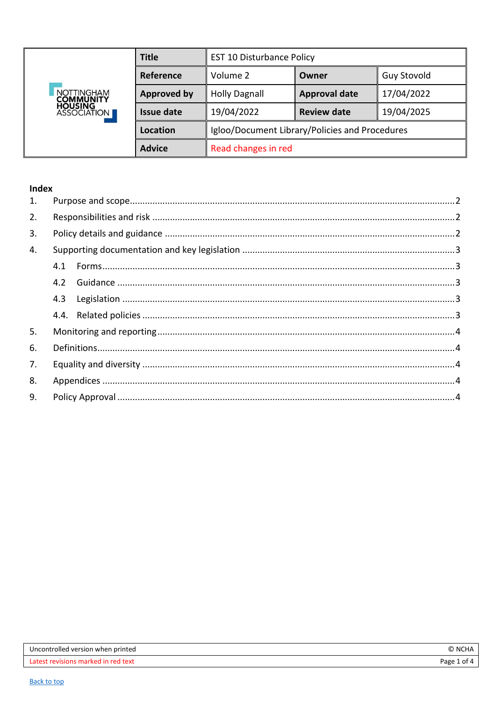<span id="page-0-0"></span>

|                                                                               | <b>Title</b>       | <b>EST 10 Disturbance Policy</b>               |                      |                    |
|-------------------------------------------------------------------------------|--------------------|------------------------------------------------|----------------------|--------------------|
| <b>NOTTINGHAM</b><br><b>COMMUNITY</b><br><b>HOUSING</b><br><b>ASSOCIATION</b> | Reference          | Volume 2                                       | Owner                | <b>Guy Stovold</b> |
|                                                                               | <b>Approved by</b> | <b>Holly Dagnall</b>                           | <b>Approval date</b> | 17/04/2022         |
|                                                                               | <b>Issue date</b>  | 19/04/2022                                     | <b>Review date</b>   | 19/04/2025         |
|                                                                               | Location           | Igloo/Document Library/Policies and Procedures |                      |                    |
|                                                                               | <b>Advice</b>      | Read changes in red                            |                      |                    |

# Index

| 4.1 |  |
|-----|--|
| 4.2 |  |
| 4.3 |  |
|     |  |
|     |  |
|     |  |
|     |  |
|     |  |
|     |  |
|     |  |

| Uncontrolled version when printed   | $\epsilon$<br>… NC' ⊺ |
|-------------------------------------|-----------------------|
| Latest revisions marked in red text | Page 1<br>ot 4        |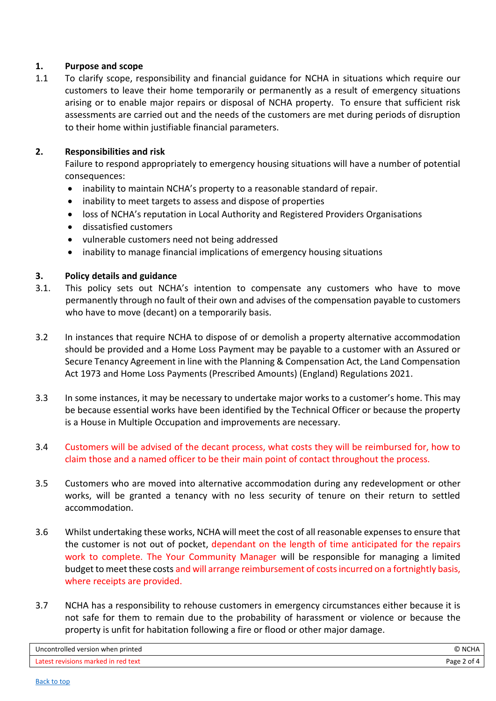## <span id="page-1-0"></span>**1. Purpose and scope**

1.1 To clarify scope, responsibility and financial guidance for NCHA in situations which require our customers to leave their home temporarily or permanently as a result of emergency situations arising or to enable major repairs or disposal of NCHA property. To ensure that sufficient risk assessments are carried out and the needs of the customers are met during periods of disruption to their home within justifiable financial parameters.

## <span id="page-1-1"></span>**2. Responsibilities and risk**

Failure to respond appropriately to emergency housing situations will have a number of potential consequences:

- inability to maintain NCHA's property to a reasonable standard of repair.
- inability to meet targets to assess and dispose of properties
- loss of NCHA's reputation in Local Authority and Registered Providers Organisations
- dissatisfied customers
- vulnerable customers need not being addressed
- inability to manage financial implications of emergency housing situations

## <span id="page-1-2"></span>**3. Policy details and guidance**

- 3.1. This policy sets out NCHA's intention to compensate any customers who have to move permanently through no fault of their own and advises of the compensation payable to customers who have to move (decant) on a temporarily basis.
- 3.2 In instances that require NCHA to dispose of or demolish a property alternative accommodation should be provided and a Home Loss Payment may be payable to a customer with an Assured or Secure Tenancy Agreement in line with the Planning & Compensation Act, the Land Compensation Act 1973 and Home Loss Payments (Prescribed Amounts) (England) Regulations 2021.
- 3.3 In some instances, it may be necessary to undertake major works to a customer's home. This may be because essential works have been identified by the Technical Officer or because the property is a House in Multiple Occupation and improvements are necessary.
- 3.4 Customers will be advised of the decant process, what costs they will be reimbursed for, how to claim those and a named officer to be their main point of contact throughout the process.
- 3.5 Customers who are moved into alternative accommodation during any redevelopment or other works, will be granted a tenancy with no less security of tenure on their return to settled accommodation.
- 3.6 Whilst undertaking these works, NCHA will meet the cost of all reasonable expenses to ensure that the customer is not out of pocket, dependant on the length of time anticipated for the repairs work to complete. The Your Community Manager will be responsible for managing a limited budget to meet these costs and will arrange reimbursement of costs incurred on a fortnightly basis, where receipts are provided.
- 3.7 NCHA has a responsibility to rehouse customers in emergency circumstances either because it is not safe for them to remain due to the probability of harassment or violence or because the property is unfit for habitation following a fire or flood or other major damage.

| Uncontrolled version when printed   | © NCHA      |
|-------------------------------------|-------------|
| Latest revisions marked in red text | Page 2 of 4 |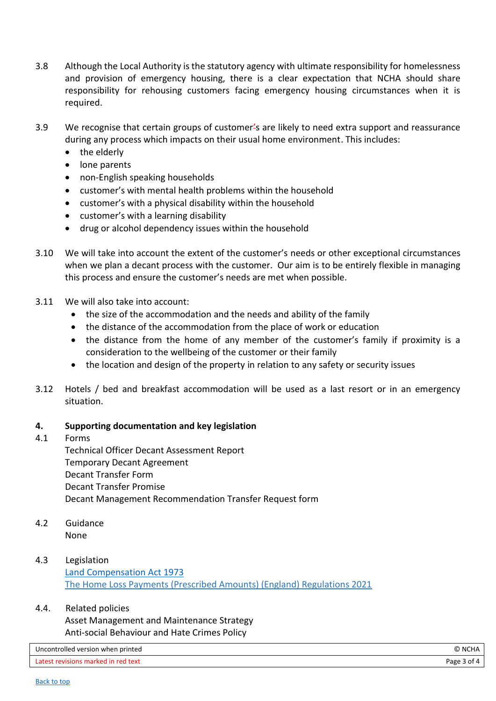- 3.8 Although the Local Authority is the statutory agency with ultimate responsibility for homelessness and provision of emergency housing, there is a clear expectation that NCHA should share responsibility for rehousing customers facing emergency housing circumstances when it is required.
- 3.9 We recognise that certain groups of customer's are likely to need extra support and reassurance during any process which impacts on their usual home environment. This includes:
	- the elderly
	- lone parents
	- non-English speaking households
	- customer's with mental health problems within the household
	- customer's with a physical disability within the household
	- customer's with a learning disability
	- drug or alcohol dependency issues within the household
- 3.10 We will take into account the extent of the customer's needs or other exceptional circumstances when we plan a decant process with the customer. Our aim is to be entirely flexible in managing this process and ensure the customer's needs are met when possible.
- 3.11 We will also take into account:
	- the size of the accommodation and the needs and ability of the family
	- the distance of the accommodation from the place of work or education
	- the distance from the home of any member of the customer's family if proximity is a consideration to the wellbeing of the customer or their family
	- the location and design of the property in relation to any safety or security issues
- 3.12 Hotels / bed and breakfast accommodation will be used as a last resort or in an emergency situation.

#### <span id="page-2-0"></span>**4. Supporting documentation and key legislation**

- <span id="page-2-1"></span>4.1 Forms Technical Officer Decant Assessment Report Temporary Decant Agreement Decant Transfer Form Decant Transfer Promise Decant Management Recommendation Transfer Request form
- <span id="page-2-2"></span>4.2 Guidance None
- <span id="page-2-3"></span>4.3 Legislation [Land Compensation Act 1973](https://www.legislation.gov.uk/ukpga/1973/26/contents) [The Home Loss Payments \(Prescribed Amounts\) \(England\) Regulations 2021](https://www.legislation.gov.uk/uksi/2021/841/contents/made)

#### <span id="page-2-4"></span>4.4. Related policies

Asset Management and Maintenance Strategy Anti-social Behaviour and Hate Crimes Policy

| Uncontrolled version when printed   | <b>NCHA</b><br>(C) |
|-------------------------------------|--------------------|
| Latest revisions marked in red text | Page<br>ot 4       |